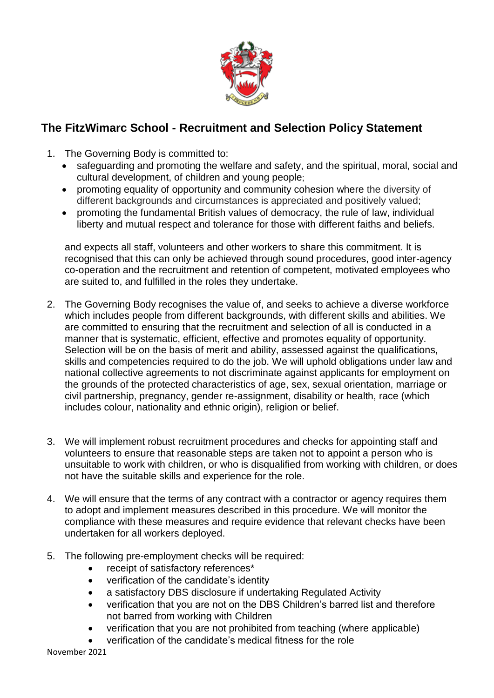

## **The FitzWimarc School - Recruitment and Selection Policy Statement**

- 1. The Governing Body is committed to:
	- safeguarding and promoting the welfare and safety, and the spiritual, moral, social and cultural development, of children and young people;
	- promoting equality of opportunity and community cohesion where the diversity of different backgrounds and circumstances is appreciated and positively valued;
	- promoting the fundamental British values of democracy, the rule of law, individual liberty and mutual respect and tolerance for those with different faiths and beliefs.

and expects all staff, volunteers and other workers to share this commitment. It is recognised that this can only be achieved through sound procedures, good inter-agency co-operation and the recruitment and retention of competent, motivated employees who are suited to, and fulfilled in the roles they undertake.

- 2. The Governing Body recognises the value of, and seeks to achieve a diverse workforce which includes people from different backgrounds, with different skills and abilities. We are committed to ensuring that the recruitment and selection of all is conducted in a manner that is systematic, efficient, effective and promotes equality of opportunity. Selection will be on the basis of merit and ability, assessed against the qualifications, skills and competencies required to do the job. We will uphold obligations under law and national collective agreements to not discriminate against applicants for employment on the grounds of the protected characteristics of age, sex, sexual orientation, marriage or civil partnership, pregnancy, gender re-assignment, disability or health, race (which includes colour, nationality and ethnic origin), religion or belief.
- 3. We will implement robust recruitment procedures and checks for appointing staff and volunteers to ensure that reasonable steps are taken not to appoint a person who is unsuitable to work with children, or who is disqualified from working with children, or does not have the suitable skills and experience for the role.
- 4. We will ensure that the terms of any contract with a contractor or agency requires them to adopt and implement measures described in this procedure. We will monitor the compliance with these measures and require evidence that relevant checks have been undertaken for all workers deployed.
- 5. The following pre-employment checks will be required:
	- receipt of satisfactory references\*
	- verification of the candidate's identity
	- a satisfactory DBS disclosure if undertaking Regulated Activity
	- verification that you are not on the DBS Children's barred list and therefore not barred from working with Children
	- verification that you are not prohibited from teaching (where applicable)
	- verification of the candidate's medical fitness for the role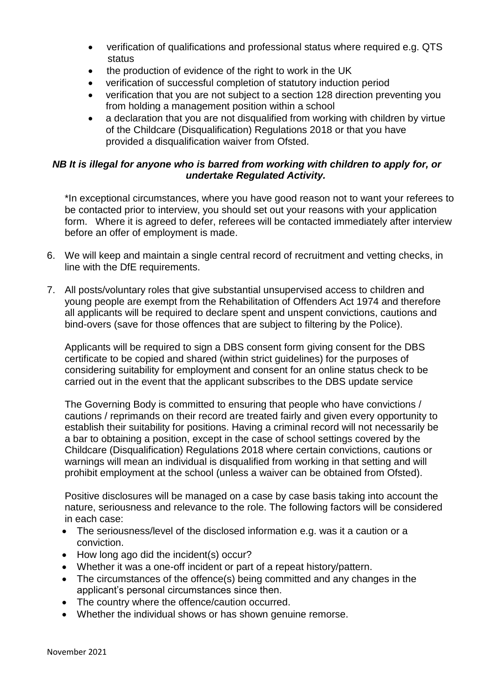- verification of qualifications and professional status where required e.g. QTS status
- the production of evidence of the right to work in the UK
- verification of successful completion of statutory induction period
- verification that you are not subject to a section 128 direction preventing you from holding a management position within a school
- a declaration that you are not disqualified from working with children by virtue of the Childcare (Disqualification) Regulations 2018 or that you have provided a disqualification waiver from Ofsted.

## *NB It is illegal for anyone who is barred from working with children to apply for, or undertake Regulated Activity.*

\*In exceptional circumstances, where you have good reason not to want your referees to be contacted prior to interview, you should set out your reasons with your application form. Where it is agreed to defer, referees will be contacted immediately after interview before an offer of employment is made.

- 6. We will keep and maintain a single central record of recruitment and vetting checks, in line with the DfE requirements.
- 7. All posts/voluntary roles that give substantial unsupervised access to children and young people are exempt from the Rehabilitation of Offenders Act 1974 and therefore all applicants will be required to declare spent and unspent convictions, cautions and bind-overs (save for those offences that are subject to filtering by the Police).

Applicants will be required to sign a DBS consent form giving consent for the DBS certificate to be copied and shared (within strict guidelines) for the purposes of considering suitability for employment and consent for an online status check to be carried out in the event that the applicant subscribes to the DBS update service

The Governing Body is committed to ensuring that people who have convictions / cautions / reprimands on their record are treated fairly and given every opportunity to establish their suitability for positions. Having a criminal record will not necessarily be a bar to obtaining a position, except in the case of school settings covered by the Childcare (Disqualification) Regulations 2018 where certain convictions, cautions or warnings will mean an individual is disqualified from working in that setting and will prohibit employment at the school (unless a waiver can be obtained from Ofsted).

Positive disclosures will be managed on a case by case basis taking into account the nature, seriousness and relevance to the role. The following factors will be considered in each case:

- The seriousness/level of the disclosed information e.g. was it a caution or a conviction.
- How long ago did the incident(s) occur?
- Whether it was a one-off incident or part of a repeat history/pattern.
- The circumstances of the offence(s) being committed and any changes in the applicant's personal circumstances since then.
- The country where the offence/caution occurred.
- Whether the individual shows or has shown genuine remorse.